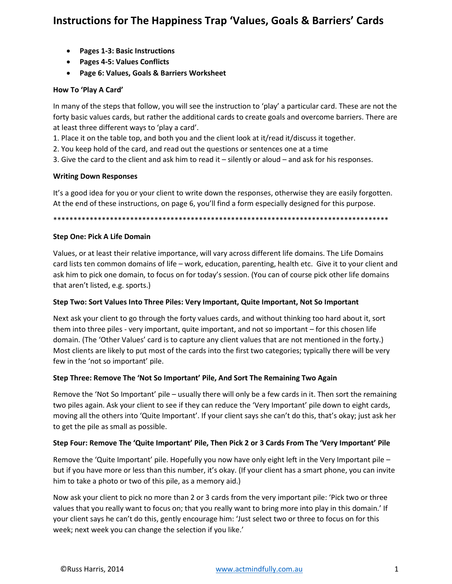- Pages 1-3: Basic Instructions
- Pages 4-5: Values Conflicts
- Page 6: Values, Goals & Barriers Worksheet

#### How To 'Play A Card'

In many of the steps that follow, you will see the instruction to 'play' a particular card. These are not the forty basic values cards, but rather the additional cards to create goals and overcome barriers. There are at least three different ways to 'play a card'.

1. Place it on the table top, and both you and the client look at it/read it/discuss it together.

2. You keep hold of the card, and read out the questions or sentences one at a time

3. Give the card to the client and ask him to read it  $-$  silently or aloud  $-$  and ask for his responses.

### **Writing Down Responses**

It's a good idea for you or your client to write down the responses, otherwise they are easily forgotten. At the end of these instructions, on page 6, you'll find a form especially designed for this purpose.

### **Step One: Pick A Life Domain**

Values, or at least their relative importance, will vary across different life domains. The Life Domains card lists ten common domains of life - work, education, parenting, health etc. Give it to your client and ask him to pick one domain, to focus on for today's session. (You can of course pick other life domains that aren't listed, e.g. sports.)

### Step Two: Sort Values Into Three Piles: Very Important, Quite Important, Not So Important

Next ask your client to go through the forty values cards, and without thinking too hard about it, sort them into three piles - very important, quite important, and not so important - for this chosen life domain. (The 'Other Values' card is to capture any client values that are not mentioned in the forty.) Most clients are likely to put most of the cards into the first two categories; typically there will be very few in the 'not so important' pile.

### Step Three: Remove The 'Not So Important' Pile, And Sort The Remaining Two Again

Remove the 'Not So Important' pile – usually there will only be a few cards in it. Then sort the remaining two piles again. Ask your client to see if they can reduce the 'Very Important' pile down to eight cards, moving all the others into 'Quite Important'. If your client says she can't do this, that's okay; just ask her to get the pile as small as possible.

### Step Four: Remove The 'Quite Important' Pile, Then Pick 2 or 3 Cards From The 'Very Important' Pile

Remove the 'Quite Important' pile. Hopefully you now have only eight left in the Very Important pile but if you have more or less than this number, it's okay. (If your client has a smart phone, you can invite him to take a photo or two of this pile, as a memory aid.)

Now ask your client to pick no more than 2 or 3 cards from the very important pile: 'Pick two or three values that you really want to focus on; that you really want to bring more into play in this domain.' If your client says he can't do this, gently encourage him: 'Just select two or three to focus on for this week; next week you can change the selection if you like.'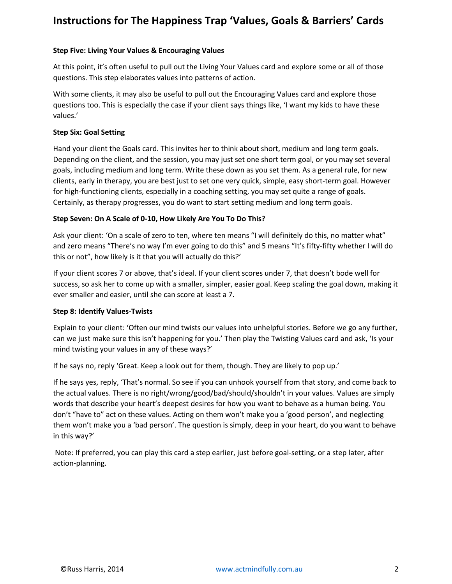# **Step Five: Living Your Values & Encouraging Values**

At this point, it's often useful to pull out the Living Your Values card and explore some or all of those questions. This step elaborates values into patterns of action.

With some clients, it may also be useful to pull out the Encouraging Values card and explore those questions too. This is especially the case if your client says things like, 'I want my kids to have these values.'

## **Step Six: Goal Setting**

Hand your client the Goals card. This invites her to think about short, medium and long term goals. Depending on the client, and the session, you may just set one short term goal, or you may set several goals, including medium and long term. Write these down as you set them. As a general rule, for new clients, early in therapy, you are best just to set one very quick, simple, easy short-term goal. However for high-functioning clients, especially in a coaching setting, you may set quite a range of goals. Certainly, as therapy progresses, you do want to start setting medium and long term goals.

# **Step Seven: On A Scale of 0-10, How Likely Are You To Do This?**

Ask your client: 'On a scale of zero to ten, where ten means "I will definitely do this, no matter what" and zero means "There's no way I'm ever going to do this" and 5 means "It's fifty-fifty whether I will do this or not", how likely is it that you will actually do this?'

If your client scores 7 or above, that's ideal. If your client scores under 7, that doesn't bode well for success, so ask her to come up with a smaller, simpler, easier goal. Keep scaling the goal down, making it ever smaller and easier, until she can score at least a 7.

### **Step 8: Identify Values-Twists**

Explain to your client: 'Often our mind twists our values into unhelpful stories. Before we go any further, can we just make sure this isn't happening for you.' Then play the Twisting Values card and ask, 'Is your mind twisting your values in any of these ways?'

If he says no, reply 'Great. Keep a look out for them, though. They are likely to pop up.'

If he says yes, reply, 'That's normal. So see if you can unhook yourself from that story, and come back to the actual values. There is no right/wrong/good/bad/should/shouldn't in your values. Values are simply words that describe your heart's deepest desires for how you want to behave as a human being. You don't "have to" act on these values. Acting on them won't make you a 'good person', and neglecting them won't make you a 'bad person'. The question is simply, deep in your heart, do you want to behave in this way?'

Note: If preferred, you can play this card a step earlier, just before goal-setting, or a step later, after action-planning.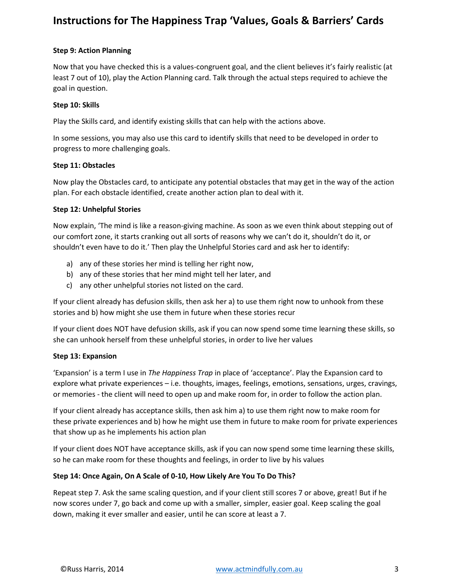# **Step 9: Action Planning**

Now that you have checked this is a values-congruent goal, and the client believes it's fairly realistic (at least 7 out of 10), play the Action Planning card. Talk through the actual steps required to achieve the goal in question.

### **Step 10: Skills**

Play the Skills card, and identify existing skills that can help with the actions above.

In some sessions, you may also use this card to identify skills that need to be developed in order to progress to more challenging goals.

### **Step 11: Obstacles**

Now play the Obstacles card, to anticipate any potential obstacles that may get in the way of the action plan. For each obstacle identified, create another action plan to deal with it.

# **Step 12: Unhelpful Stories**

Now explain, 'The mind is like a reason-giving machine. As soon as we even think about stepping out of our comfort zone, it starts cranking out all sorts of reasons why we can't do it, shouldn't do it, or shouldn't even have to do it.' Then play the Unhelpful Stories card and ask her to identify:

- a) any of these stories her mind is telling her right now,
- b) any of these stories that her mind might tell her later, and
- c) any other unhelpful stories not listed on the card.

If your client already has defusion skills, then ask her a) to use them right now to unhook from these stories and b) how might she use them in future when these stories recur

If your client does NOT have defusion skills, ask if you can now spend some time learning these skills, so she can unhook herself from these unhelpful stories, in order to live her values

### **Step 13: Expansion**

'Expansion' is a term I use in *The Happiness Trap* in place of 'acceptance'. Play the Expansion card to explore what private experiences – i.e. thoughts, images, feelings, emotions, sensations, urges, cravings, or memories - the client will need to open up and make room for, in order to follow the action plan.

If your client already has acceptance skills, then ask him a) to use them right now to make room for these private experiences and b) how he might use them in future to make room for private experiences that show up as he implements his action plan

If your client does NOT have acceptance skills, ask if you can now spend some time learning these skills, so he can make room for these thoughts and feelings, in order to live by his values

# **Step 14: Once Again, On A Scale of 0-10, How Likely Are You To Do This?**

Repeat step 7. Ask the same scaling question, and if your client still scores 7 or above, great! But if he now scores under 7, go back and come up with a smaller, simpler, easier goal. Keep scaling the goal down, making it ever smaller and easier, until he can score at least a 7.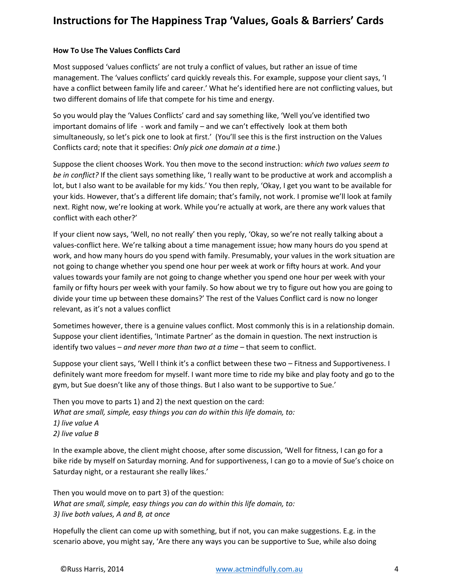# **How To Use The Values Conflicts Card**

Most supposed 'values conflicts' are not truly a conflict of values, but rather an issue of time management. The 'values conflicts' card quickly reveals this. For example, suppose your client says, 'I have a conflict between family life and career.' What he's identified here are not conflicting values, but two different domains of life that compete for his time and energy.

So you would play the 'Values Conflicts' card and say something like, 'Well you've identified two important domains of life - work and family – and we can't effectively look at them both simultaneously, so let's pick one to look at first.' (You'll see this is the first instruction on the Values Conflicts card; note that it specifies: *Only pick one domain at a time*.)

Suppose the client chooses Work. You then move to the second instruction: *which two values seem to be in conflict?* If the client says something like, 'I really want to be productive at work and accomplish a lot, but I also want to be available for my kids.' You then reply, 'Okay, I get you want to be available for your kids. However, that's a different life domain; that's family, not work. I promise we'll look at family next. Right now, we're looking at work. While you're actually at work, are there any work values that conflict with each other?'

If your client now says, 'Well, no not really' then you reply, 'Okay, so we're not really talking about a values-conflict here. We're talking about a time management issue; how many hours do you spend at work, and how many hours do you spend with family. Presumably, your values in the work situation are not going to change whether you spend one hour per week at work or fifty hours at work. And your values towards your family are not going to change whether you spend one hour per week with your family or fifty hours per week with your family. So how about we try to figure out how you are going to divide your time up between these domains?' The rest of the Values Conflict card is now no longer relevant, as it's not a values conflict

Sometimes however, there is a genuine values conflict. Most commonly this is in a relationship domain. Suppose your client identifies, 'Intimate Partner' as the domain in question. The next instruction is identify two values – *and never more than two at a time* – that seem to conflict.

Suppose your client says, 'Well I think it's a conflict between these two – Fitness and Supportiveness. I definitely want more freedom for myself. I want more time to ride my bike and play footy and go to the gym, but Sue doesn't like any of those things. But I also want to be supportive to Sue.'

Then you move to parts 1) and 2) the next question on the card: *What are small, simple, easy things you can do within this life domain, to: 1) live value A 2) live value B*

In the example above, the client might choose, after some discussion, 'Well for fitness, I can go for a bike ride by myself on Saturday morning. And for supportiveness, I can go to a movie of Sue's choice on Saturday night, or a restaurant she really likes.'

Then you would move on to part 3) of the question: *What are small, simple, easy things you can do within this life domain, to: 3) live both values, A and B, at once*

Hopefully the client can come up with something, but if not, you can make suggestions. E.g. in the scenario above, you might say, 'Are there any ways you can be supportive to Sue, while also doing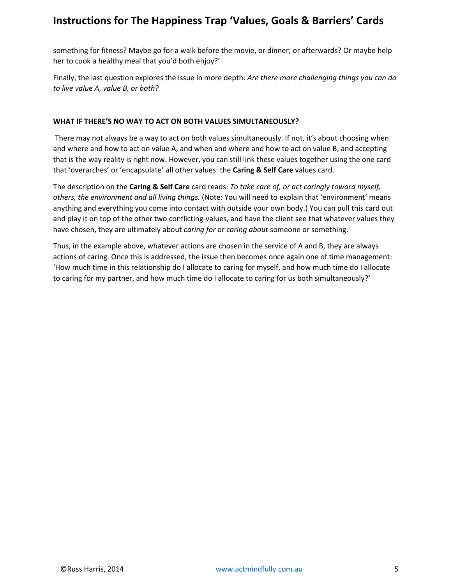something for fitness? Maybe go for a walk before the movie, or dinner; or afterwards? Or maybe help her to cook a healthy meal that you'd both enjoy?'

Finally, the last question explores the issue in more depth: *Are there more challenging things you can do to live value A, value B, or both?*

## **WHAT IF THERE'S NO WAY TO ACT ON BOTH VALUES SIMULTANEOUSLY?**

There may not always be a way to act on both values simultaneously. If not, it's about choosing when and where and how to act on value A, and when and where and how to act on value B, and accepting that is the way reality is right now. However, you can still link these values together using the one card that 'overarches' or 'encapsulate' all other values: the **Caring & Self Care** values card.

The description on the **Caring & Self Care** card reads: *To take care of, or act caringly toward myself, others, the environment and all living things.* (Note: You will need to explain that 'environment' means anything and everything you come into contact with outside your own body.) You can pull this card out and play it on top of the other two conflicting-values, and have the client see that whatever values they have chosen, they are ultimately about *caring for* or *caring about* someone or something.

Thus, in the example above, whatever actions are chosen in the service of A and B, they are always actions of caring. Once this is addressed, the issue then becomes once again one of time management: 'How much time in this relationship do I allocate to caring for myself, and how much time do I allocate to caring for my partner, and how much time do I allocate to caring for us both simultaneously?'